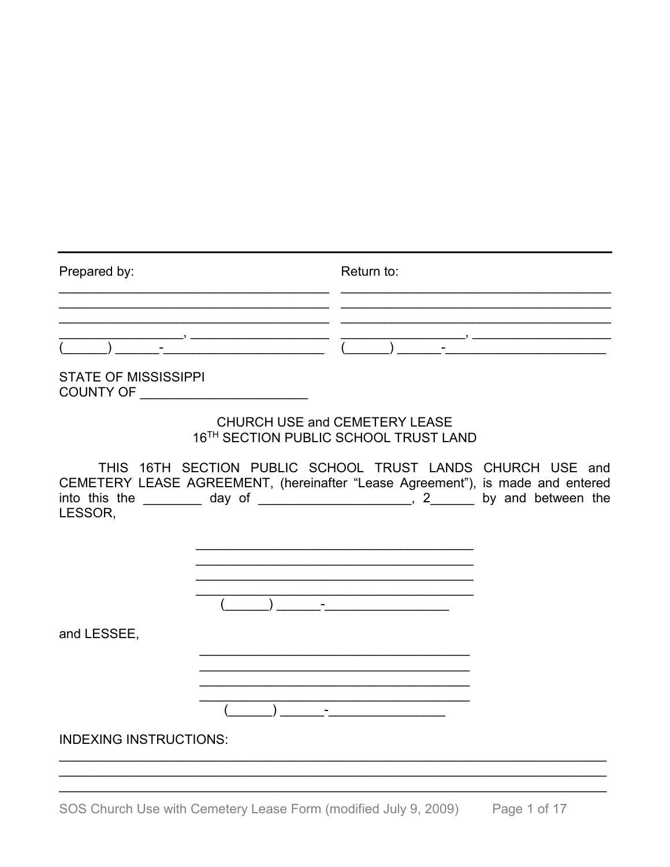| Prepared by:                                    | Return to: |
|-------------------------------------------------|------------|
|                                                 |            |
|                                                 |            |
| <b>STATE OF MISSISSIPPI</b><br><b>COUNTY OF</b> |            |

### CHURCH USE and CEMETERY LEASE 16TH SECTION PUBLIC SCHOOL TRUST LAND

THIS 16TH SECTION PUBLIC SCHOOL TRUST LANDS CHURCH USE and CEMETERY LEASE AGREEMENT, (hereinafter "Lease Agreement"), is made and entered into this the  $\frac{1}{\sqrt{2}}$  day of  $\frac{1}{\sqrt{2}}$  , 2 by and between the LESSOR.



and LESSEE,



**INDEXING INSTRUCTIONS:**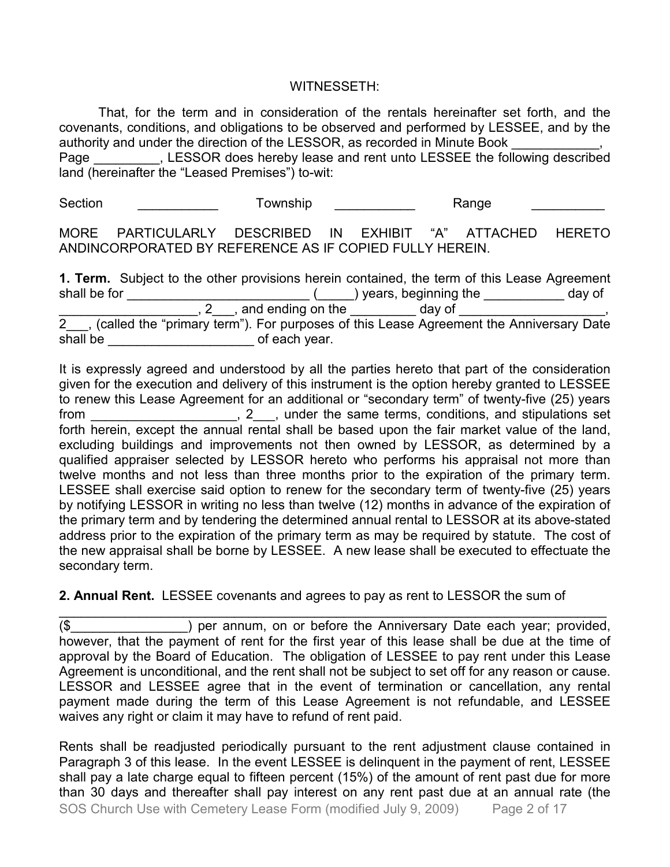### WITNESSETH:

That, for the term and in consideration of the rentals hereinafter set forth, and the covenants, conditions, and obligations to be observed and performed by LESSEE, and by the authority and under the direction of the LESSOR, as recorded in Minute Book

Page East Ressor does hereby lease and rent unto LESSEE the following described land (hereinafter the "Leased Premises") to-wit:

Section \_\_\_\_\_\_\_\_\_\_\_\_\_ Township \_\_\_\_\_\_\_\_\_\_\_ Range \_\_\_\_\_\_\_\_\_\_\_

MORE PARTICULARLY DESCRIBED IN EXHIBIT "A" ATTACHED HERETO ANDINCORPORATED BY REFERENCE AS IF COPIED FULLY HEREIN.

**1. Term.** Subject to the other provisions herein contained, the term of this Lease Agreement shall be for \_\_\_\_\_\_\_\_\_\_\_\_\_\_\_\_\_\_\_\_\_\_\_\_\_ (\_\_\_\_\_) years, beginning the \_\_\_\_\_\_\_\_\_\_\_ day of  $\overline{2}$ , and ending on the  $\overline{2}$  day of 2 , (called the "primary term"). For purposes of this Lease Agreement the Anniversary Date shall be \_\_\_\_\_\_\_\_\_\_\_\_\_\_\_\_\_\_\_\_\_\_\_\_\_\_\_\_\_\_\_\_\_of each year.

It is expressly agreed and understood by all the parties hereto that part of the consideration given for the execution and delivery of this instrument is the option hereby granted to LESSEE to renew this Lease Agreement for an additional or "secondary term" of twenty-five (25) years from the same terms, conditions, and stipulations set from forth herein, except the annual rental shall be based upon the fair market value of the land, excluding buildings and improvements not then owned by LESSOR, as determined by a qualified appraiser selected by LESSOR hereto who performs his appraisal not more than twelve months and not less than three months prior to the expiration of the primary term. LESSEE shall exercise said option to renew for the secondary term of twenty-five (25) years by notifying LESSOR in writing no less than twelve (12) months in advance of the expiration of the primary term and by tendering the determined annual rental to LESSOR at its above-stated address prior to the expiration of the primary term as may be required by statute. The cost of the new appraisal shall be borne by LESSEE. A new lease shall be executed to effectuate the secondary term.

**2. Annual Rent.** LESSEE covenants and agrees to pay as rent to LESSOR the sum of

\_\_\_\_\_\_\_\_\_\_\_\_\_\_\_\_\_\_\_\_\_\_\_\_\_\_\_\_\_\_\_\_\_\_\_\_\_\_\_\_\_\_\_\_\_\_\_\_\_\_\_\_\_\_\_\_\_\_\_\_\_\_\_\_\_\_\_\_\_\_\_\_\_\_\_ (\$\_\_\_\_\_\_\_\_\_\_\_\_\_\_\_\_) per annum, on or before the Anniversary Date each year; provided, however, that the payment of rent for the first year of this lease shall be due at the time of approval by the Board of Education. The obligation of LESSEE to pay rent under this Lease Agreement is unconditional, and the rent shall not be subject to set off for any reason or cause. LESSOR and LESSEE agree that in the event of termination or cancellation, any rental payment made during the term of this Lease Agreement is not refundable, and LESSEE waives any right or claim it may have to refund of rent paid.

SOS Church Use with Cemetery Lease Form (modified July 9, 2009) Page 2 of 17 Rents shall be readjusted periodically pursuant to the rent adjustment clause contained in Paragraph 3 of this lease. In the event LESSEE is delinquent in the payment of rent, LESSEE shall pay a late charge equal to fifteen percent (15%) of the amount of rent past due for more than 30 days and thereafter shall pay interest on any rent past due at an annual rate (the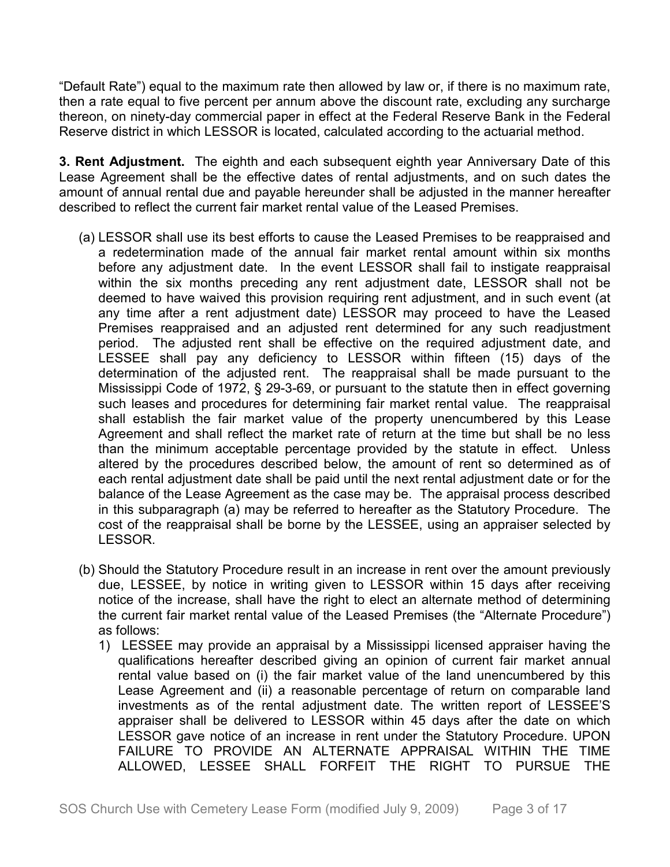"Default Rate") equal to the maximum rate then allowed by law or, if there is no maximum rate, then a rate equal to five percent per annum above the discount rate, excluding any surcharge thereon, on ninety-day commercial paper in effect at the Federal Reserve Bank in the Federal Reserve district in which LESSOR is located, calculated according to the actuarial method.

**3. Rent Adjustment.** The eighth and each subsequent eighth year Anniversary Date of this Lease Agreement shall be the effective dates of rental adjustments, and on such dates the amount of annual rental due and payable hereunder shall be adjusted in the manner hereafter described to reflect the current fair market rental value of the Leased Premises.

- (a) LESSOR shall use its best efforts to cause the Leased Premises to be reappraised and a redetermination made of the annual fair market rental amount within six months before any adjustment date. In the event LESSOR shall fail to instigate reappraisal within the six months preceding any rent adjustment date, LESSOR shall not be deemed to have waived this provision requiring rent adjustment, and in such event (at any time after a rent adjustment date) LESSOR may proceed to have the Leased Premises reappraised and an adjusted rent determined for any such readjustment period. The adjusted rent shall be effective on the required adjustment date, and LESSEE shall pay any deficiency to LESSOR within fifteen (15) days of the determination of the adjusted rent. The reappraisal shall be made pursuant to the Mississippi Code of 1972, § 29-3-69, or pursuant to the statute then in effect governing such leases and procedures for determining fair market rental value. The reappraisal shall establish the fair market value of the property unencumbered by this Lease Agreement and shall reflect the market rate of return at the time but shall be no less than the minimum acceptable percentage provided by the statute in effect. Unless altered by the procedures described below, the amount of rent so determined as of each rental adjustment date shall be paid until the next rental adjustment date or for the balance of the Lease Agreement as the case may be. The appraisal process described in this subparagraph (a) may be referred to hereafter as the Statutory Procedure. The cost of the reappraisal shall be borne by the LESSEE, using an appraiser selected by LESSOR.
- (b) Should the Statutory Procedure result in an increase in rent over the amount previously due, LESSEE, by notice in writing given to LESSOR within 15 days after receiving notice of the increase, shall have the right to elect an alternate method of determining the current fair market rental value of the Leased Premises (the "Alternate Procedure") as follows:
	- 1) LESSEE may provide an appraisal by a Mississippi licensed appraiser having the qualifications hereafter described giving an opinion of current fair market annual rental value based on (i) the fair market value of the land unencumbered by this Lease Agreement and (ii) a reasonable percentage of return on comparable land investments as of the rental adjustment date. The written report of LESSEE'S appraiser shall be delivered to LESSOR within 45 days after the date on which LESSOR gave notice of an increase in rent under the Statutory Procedure. UPON FAILURE TO PROVIDE AN ALTERNATE APPRAISAL WITHIN THE TIME ALLOWED, LESSEE SHALL FORFEIT THE RIGHT TO PURSUE THE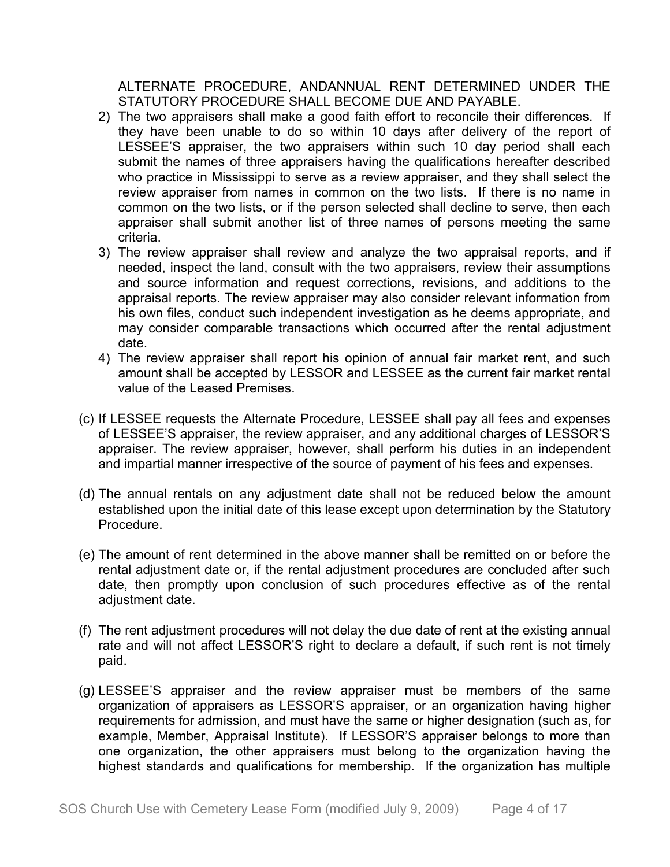ALTERNATE PROCEDURE, ANDANNUAL RENT DETERMINED UNDER THE STATUTORY PROCEDURE SHALL BECOME DUE AND PAYABLE.

- 2) The two appraisers shall make a good faith effort to reconcile their differences. If they have been unable to do so within 10 days after delivery of the report of LESSEE'S appraiser, the two appraisers within such 10 day period shall each submit the names of three appraisers having the qualifications hereafter described who practice in Mississippi to serve as a review appraiser, and they shall select the review appraiser from names in common on the two lists. If there is no name in common on the two lists, or if the person selected shall decline to serve, then each appraiser shall submit another list of three names of persons meeting the same criteria.
- 3) The review appraiser shall review and analyze the two appraisal reports, and if needed, inspect the land, consult with the two appraisers, review their assumptions and source information and request corrections, revisions, and additions to the appraisal reports. The review appraiser may also consider relevant information from his own files, conduct such independent investigation as he deems appropriate, and may consider comparable transactions which occurred after the rental adjustment date.
- 4) The review appraiser shall report his opinion of annual fair market rent, and such amount shall be accepted by LESSOR and LESSEE as the current fair market rental value of the Leased Premises.
- (c) If LESSEE requests the Alternate Procedure, LESSEE shall pay all fees and expenses of LESSEE'S appraiser, the review appraiser, and any additional charges of LESSOR'S appraiser. The review appraiser, however, shall perform his duties in an independent and impartial manner irrespective of the source of payment of his fees and expenses.
- (d) The annual rentals on any adjustment date shall not be reduced below the amount established upon the initial date of this lease except upon determination by the Statutory Procedure.
- (e) The amount of rent determined in the above manner shall be remitted on or before the rental adjustment date or, if the rental adjustment procedures are concluded after such date, then promptly upon conclusion of such procedures effective as of the rental adjustment date.
- (f) The rent adjustment procedures will not delay the due date of rent at the existing annual rate and will not affect LESSOR'S right to declare a default, if such rent is not timely paid.
- (g) LESSEE'S appraiser and the review appraiser must be members of the same organization of appraisers as LESSOR'S appraiser, or an organization having higher requirements for admission, and must have the same or higher designation (such as, for example, Member, Appraisal Institute). If LESSOR'S appraiser belongs to more than one organization, the other appraisers must belong to the organization having the highest standards and qualifications for membership. If the organization has multiple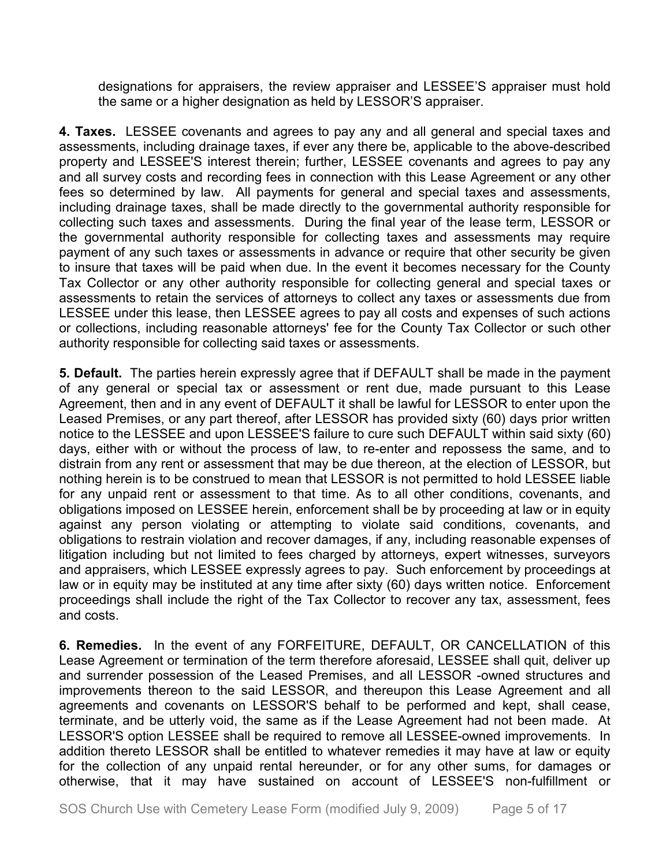designations for appraisers, the review appraiser and LESSEE'S appraiser must hold the same or a higher designation as held by LESSOR'S appraiser.

**4. Taxes.** LESSEE covenants and agrees to pay any and all general and special taxes and assessments, including drainage taxes, if ever any there be, applicable to the above-described property and LESSEE'S interest therein; further, LESSEE covenants and agrees to pay any and all survey costs and recording fees in connection with this Lease Agreement or any other fees so determined by law. All payments for general and special taxes and assessments, including drainage taxes, shall be made directly to the governmental authority responsible for collecting such taxes and assessments. During the final year of the lease term, LESSOR or the governmental authority responsible for collecting taxes and assessments may require payment of any such taxes or assessments in advance or require that other security be given to insure that taxes will be paid when due. In the event it becomes necessary for the County Tax Collector or any other authority responsible for collecting general and special taxes or assessments to retain the services of attorneys to collect any taxes or assessments due from LESSEE under this lease, then LESSEE agrees to pay all costs and expenses of such actions or collections, including reasonable attorneys' fee for the County Tax Collector or such other authority responsible for collecting said taxes or assessments.

**5. Default.** The parties herein expressly agree that if DEFAULT shall be made in the payment of any general or special tax or assessment or rent due, made pursuant to this Lease Agreement, then and in any event of DEFAULT it shall be lawful for LESSOR to enter upon the Leased Premises, or any part thereof, after LESSOR has provided sixty (60) days prior written notice to the LESSEE and upon LESSEE'S failure to cure such DEFAULT within said sixty (60) days, either with or without the process of law, to re-enter and repossess the same, and to distrain from any rent or assessment that may be due thereon, at the election of LESSOR, but nothing herein is to be construed to mean that LESSOR is not permitted to hold LESSEE liable for any unpaid rent or assessment to that time. As to all other conditions, covenants, and obligations imposed on LESSEE herein, enforcement shall be by proceeding at law or in equity against any person violating or attempting to violate said conditions, covenants, and obligations to restrain violation and recover damages, if any, including reasonable expenses of litigation including but not limited to fees charged by attorneys, expert witnesses, surveyors and appraisers, which LESSEE expressly agrees to pay. Such enforcement by proceedings at law or in equity may be instituted at any time after sixty (60) days written notice. Enforcement proceedings shall include the right of the Tax Collector to recover any tax, assessment, fees and costs.

**6. Remedies.** In the event of any FORFEITURE, DEFAULT, OR CANCELLATION of this Lease Agreement or termination of the term therefore aforesaid, LESSEE shall quit, deliver up and surrender possession of the Leased Premises, and all LESSOR -owned structures and improvements thereon to the said LESSOR, and thereupon this Lease Agreement and all agreements and covenants on LESSOR'S behalf to be performed and kept, shall cease, terminate, and be utterly void, the same as if the Lease Agreement had not been made. At LESSOR'S option LESSEE shall be required to remove all LESSEE-owned improvements. In addition thereto LESSOR shall be entitled to whatever remedies it may have at law or equity for the collection of any unpaid rental hereunder, or for any other sums, for damages or otherwise, that it may have sustained on account of LESSEE'S non-fulfillment or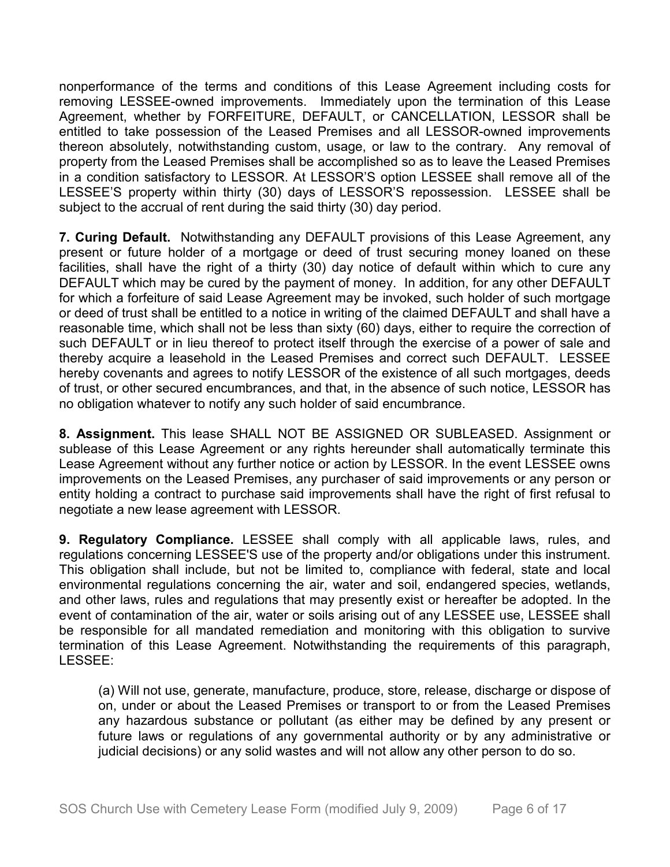nonperformance of the terms and conditions of this Lease Agreement including costs for removing LESSEE-owned improvements. Immediately upon the termination of this Lease Agreement, whether by FORFEITURE, DEFAULT, or CANCELLATION, LESSOR shall be entitled to take possession of the Leased Premises and all LESSOR-owned improvements thereon absolutely, notwithstanding custom, usage, or law to the contrary. Any removal of property from the Leased Premises shall be accomplished so as to leave the Leased Premises in a condition satisfactory to LESSOR. At LESSOR'S option LESSEE shall remove all of the LESSEE'S property within thirty (30) days of LESSOR'S repossession. LESSEE shall be subject to the accrual of rent during the said thirty (30) day period.

**7. Curing Default.** Notwithstanding any DEFAULT provisions of this Lease Agreement, any present or future holder of a mortgage or deed of trust securing money loaned on these facilities, shall have the right of a thirty (30) day notice of default within which to cure any DEFAULT which may be cured by the payment of money. In addition, for any other DEFAULT for which a forfeiture of said Lease Agreement may be invoked, such holder of such mortgage or deed of trust shall be entitled to a notice in writing of the claimed DEFAULT and shall have a reasonable time, which shall not be less than sixty (60) days, either to require the correction of such DEFAULT or in lieu thereof to protect itself through the exercise of a power of sale and thereby acquire a leasehold in the Leased Premises and correct such DEFAULT. LESSEE hereby covenants and agrees to notify LESSOR of the existence of all such mortgages, deeds of trust, or other secured encumbrances, and that, in the absence of such notice, LESSOR has no obligation whatever to notify any such holder of said encumbrance.

**8. Assignment.** This lease SHALL NOT BE ASSIGNED OR SUBLEASED. Assignment or sublease of this Lease Agreement or any rights hereunder shall automatically terminate this Lease Agreement without any further notice or action by LESSOR. In the event LESSEE owns improvements on the Leased Premises, any purchaser of said improvements or any person or entity holding a contract to purchase said improvements shall have the right of first refusal to negotiate a new lease agreement with LESSOR.

**9. Regulatory Compliance.** LESSEE shall comply with all applicable laws, rules, and regulations concerning LESSEE'S use of the property and/or obligations under this instrument. This obligation shall include, but not be limited to, compliance with federal, state and local environmental regulations concerning the air, water and soil, endangered species, wetlands, and other laws, rules and regulations that may presently exist or hereafter be adopted. In the event of contamination of the air, water or soils arising out of any LESSEE use, LESSEE shall be responsible for all mandated remediation and monitoring with this obligation to survive termination of this Lease Agreement. Notwithstanding the requirements of this paragraph, LESSEE:

(a) Will not use, generate, manufacture, produce, store, release, discharge or dispose of on, under or about the Leased Premises or transport to or from the Leased Premises any hazardous substance or pollutant (as either may be defined by any present or future laws or regulations of any governmental authority or by any administrative or judicial decisions) or any solid wastes and will not allow any other person to do so.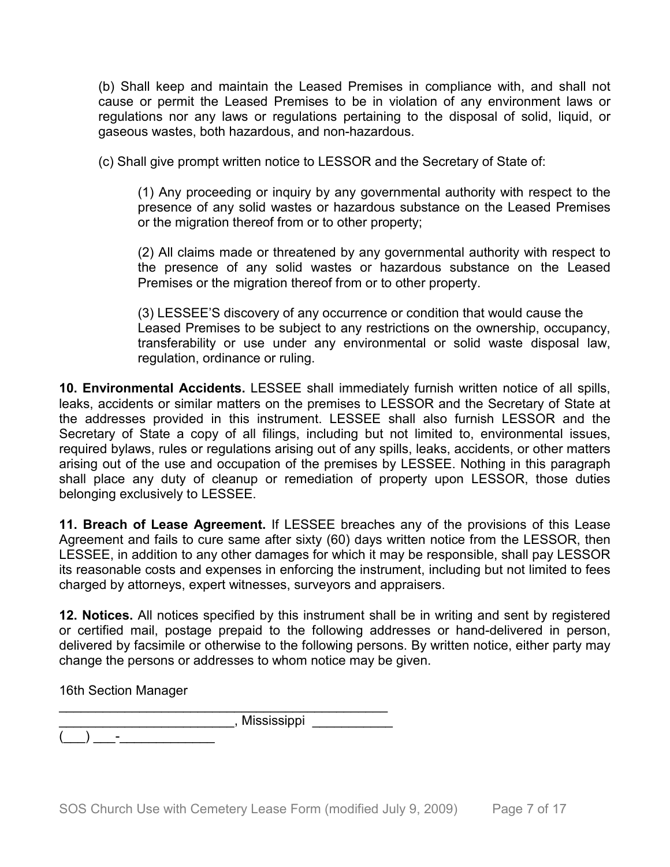(b) Shall keep and maintain the Leased Premises in compliance with, and shall not cause or permit the Leased Premises to be in violation of any environment laws or regulations nor any laws or regulations pertaining to the disposal of solid, liquid, or gaseous wastes, both hazardous, and non-hazardous.

(c) Shall give prompt written notice to LESSOR and the Secretary of State of:

(1) Any proceeding or inquiry by any governmental authority with respect to the presence of any solid wastes or hazardous substance on the Leased Premises or the migration thereof from or to other property;

(2) All claims made or threatened by any governmental authority with respect to the presence of any solid wastes or hazardous substance on the Leased Premises or the migration thereof from or to other property.

(3) LESSEE'S discovery of any occurrence or condition that would cause the Leased Premises to be subject to any restrictions on the ownership, occupancy, transferability or use under any environmental or solid waste disposal law, regulation, ordinance or ruling.

**10. Environmental Accidents.** LESSEE shall immediately furnish written notice of all spills, leaks, accidents or similar matters on the premises to LESSOR and the Secretary of State at the addresses provided in this instrument. LESSEE shall also furnish LESSOR and the Secretary of State a copy of all filings, including but not limited to, environmental issues, required bylaws, rules or regulations arising out of any spills, leaks, accidents, or other matters arising out of the use and occupation of the premises by LESSEE. Nothing in this paragraph shall place any duty of cleanup or remediation of property upon LESSOR, those duties belonging exclusively to LESSEE.

**11. Breach of Lease Agreement.** If LESSEE breaches any of the provisions of this Lease Agreement and fails to cure same after sixty (60) days written notice from the LESSOR, then LESSEE, in addition to any other damages for which it may be responsible, shall pay LESSOR its reasonable costs and expenses in enforcing the instrument, including but not limited to fees charged by attorneys, expert witnesses, surveyors and appraisers.

**12. Notices.** All notices specified by this instrument shall be in writing and sent by registered or certified mail, postage prepaid to the following addresses or hand-delivered in person, delivered by facsimile or otherwise to the following persons. By written notice, either party may change the persons or addresses to whom notice may be given.

16th Section Manager

(\_\_\_) \_\_\_-\_\_\_\_\_\_\_\_\_\_\_\_\_

\_\_\_\_\_\_\_\_\_\_\_\_\_\_\_\_\_\_\_\_\_\_\_\_\_\_\_\_\_\_\_\_\_\_\_\_\_\_\_\_\_\_\_\_\_  $\blacksquare$ , Mississippi  $\blacksquare$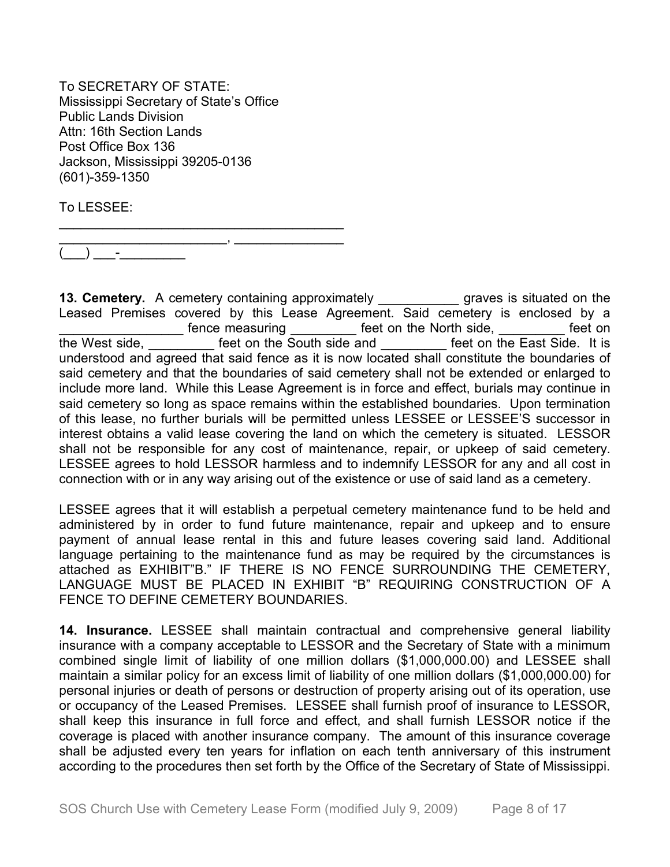To SECRETARY OF STATE: Mississippi Secretary of State's Office Public Lands Division Attn: 16th Section Lands Post Office Box 136 Jackson, Mississippi 39205-0136 (601)-359-1350

\_\_\_\_\_\_\_\_\_\_\_\_\_\_\_\_\_\_\_\_\_\_\_\_\_\_\_\_\_\_\_\_\_\_\_\_\_\_\_

To LESSEE:

\_\_\_\_\_\_\_\_\_\_\_\_\_\_\_\_\_\_\_\_\_\_\_, \_\_\_\_\_\_\_\_\_\_\_\_\_\_\_  $(\_\_) \_\_$  .

**13. Cemetery.** A cemetery containing approximately **the series of the situated on the** Leased Premises covered by this Lease Agreement. Said cemetery is enclosed by a **EXECUTE:** fence measuring **EXECUTE:** feet on the North side, **EXECUTE:** feet on the West side, **Example 20** feet on the South side and **Example 20 feet on the East Side.** It is understood and agreed that said fence as it is now located shall constitute the boundaries of said cemetery and that the boundaries of said cemetery shall not be extended or enlarged to include more land. While this Lease Agreement is in force and effect, burials may continue in said cemetery so long as space remains within the established boundaries. Upon termination of this lease, no further burials will be permitted unless LESSEE or LESSEE'S successor in interest obtains a valid lease covering the land on which the cemetery is situated. LESSOR shall not be responsible for any cost of maintenance, repair, or upkeep of said cemetery. LESSEE agrees to hold LESSOR harmless and to indemnify LESSOR for any and all cost in connection with or in any way arising out of the existence or use of said land as a cemetery.

LESSEE agrees that it will establish a perpetual cemetery maintenance fund to be held and administered by in order to fund future maintenance, repair and upkeep and to ensure payment of annual lease rental in this and future leases covering said land. Additional language pertaining to the maintenance fund as may be required by the circumstances is attached as EXHIBIT"B." IF THERE IS NO FENCE SURROUNDING THE CEMETERY, LANGUAGE MUST BE PLACED IN EXHIBIT "B" REQUIRING CONSTRUCTION OF A FENCE TO DEFINE CEMETERY BOUNDARIES.

**14. Insurance.** LESSEE shall maintain contractual and comprehensive general liability insurance with a company acceptable to LESSOR and the Secretary of State with a minimum combined single limit of liability of one million dollars (\$1,000,000.00) and LESSEE shall maintain a similar policy for an excess limit of liability of one million dollars (\$1,000,000.00) for personal injuries or death of persons or destruction of property arising out of its operation, use or occupancy of the Leased Premises. LESSEE shall furnish proof of insurance to LESSOR, shall keep this insurance in full force and effect, and shall furnish LESSOR notice if the coverage is placed with another insurance company. The amount of this insurance coverage shall be adjusted every ten years for inflation on each tenth anniversary of this instrument according to the procedures then set forth by the Office of the Secretary of State of Mississippi.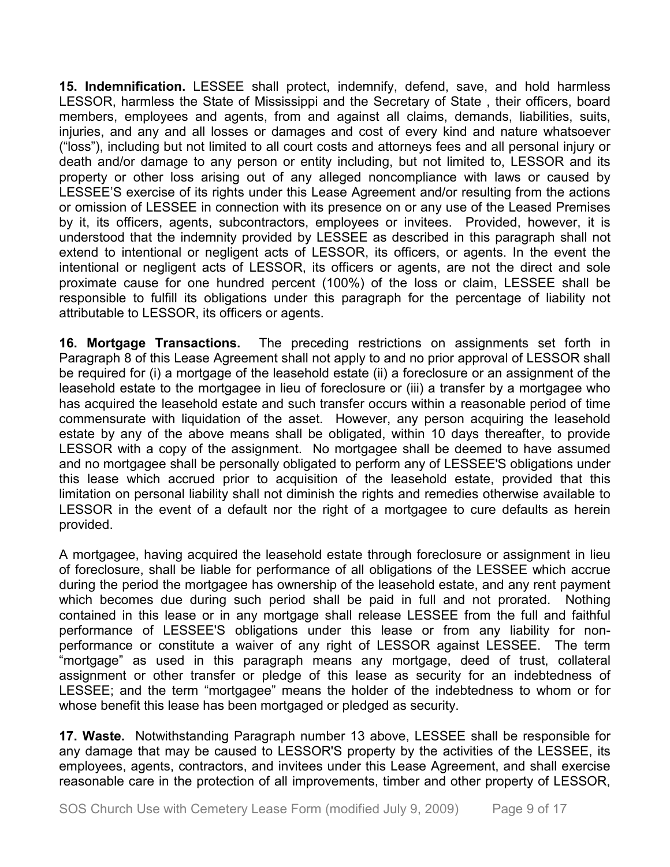**15. Indemnification.** LESSEE shall protect, indemnify, defend, save, and hold harmless LESSOR, harmless the State of Mississippi and the Secretary of State , their officers, board members, employees and agents, from and against all claims, demands, liabilities, suits, injuries, and any and all losses or damages and cost of every kind and nature whatsoever ("loss"), including but not limited to all court costs and attorneys fees and all personal injury or death and/or damage to any person or entity including, but not limited to, LESSOR and its property or other loss arising out of any alleged noncompliance with laws or caused by LESSEE'S exercise of its rights under this Lease Agreement and/or resulting from the actions or omission of LESSEE in connection with its presence on or any use of the Leased Premises by it, its officers, agents, subcontractors, employees or invitees. Provided, however, it is understood that the indemnity provided by LESSEE as described in this paragraph shall not extend to intentional or negligent acts of LESSOR, its officers, or agents. In the event the intentional or negligent acts of LESSOR, its officers or agents, are not the direct and sole proximate cause for one hundred percent (100%) of the loss or claim, LESSEE shall be responsible to fulfill its obligations under this paragraph for the percentage of liability not attributable to LESSOR, its officers or agents.

**16. Mortgage Transactions.** The preceding restrictions on assignments set forth in Paragraph 8 of this Lease Agreement shall not apply to and no prior approval of LESSOR shall be required for (i) a mortgage of the leasehold estate (ii) a foreclosure or an assignment of the leasehold estate to the mortgagee in lieu of foreclosure or (iii) a transfer by a mortgagee who has acquired the leasehold estate and such transfer occurs within a reasonable period of time commensurate with liquidation of the asset. However, any person acquiring the leasehold estate by any of the above means shall be obligated, within 10 days thereafter, to provide LESSOR with a copy of the assignment. No mortgagee shall be deemed to have assumed and no mortgagee shall be personally obligated to perform any of LESSEE'S obligations under this lease which accrued prior to acquisition of the leasehold estate, provided that this limitation on personal liability shall not diminish the rights and remedies otherwise available to LESSOR in the event of a default nor the right of a mortgagee to cure defaults as herein provided.

A mortgagee, having acquired the leasehold estate through foreclosure or assignment in lieu of foreclosure, shall be liable for performance of all obligations of the LESSEE which accrue during the period the mortgagee has ownership of the leasehold estate, and any rent payment which becomes due during such period shall be paid in full and not prorated. Nothing contained in this lease or in any mortgage shall release LESSEE from the full and faithful performance of LESSEE'S obligations under this lease or from any liability for nonperformance or constitute a waiver of any right of LESSOR against LESSEE. The term "mortgage" as used in this paragraph means any mortgage, deed of trust, collateral assignment or other transfer or pledge of this lease as security for an indebtedness of LESSEE; and the term "mortgagee" means the holder of the indebtedness to whom or for whose benefit this lease has been mortgaged or pledged as security.

**17. Waste.** Notwithstanding Paragraph number 13 above, LESSEE shall be responsible for any damage that may be caused to LESSOR'S property by the activities of the LESSEE, its employees, agents, contractors, and invitees under this Lease Agreement, and shall exercise reasonable care in the protection of all improvements, timber and other property of LESSOR,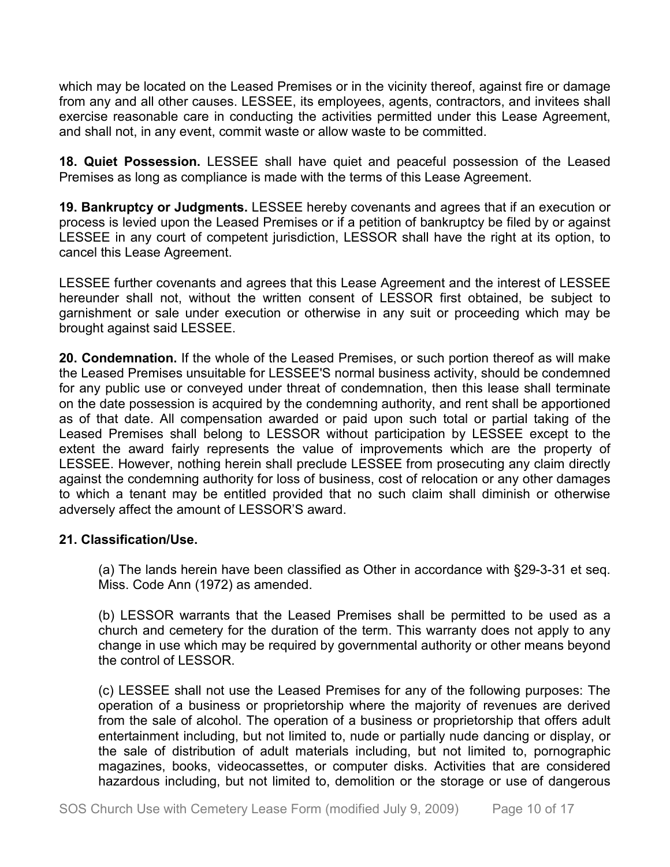which may be located on the Leased Premises or in the vicinity thereof, against fire or damage from any and all other causes. LESSEE, its employees, agents, contractors, and invitees shall exercise reasonable care in conducting the activities permitted under this Lease Agreement, and shall not, in any event, commit waste or allow waste to be committed.

**18. Quiet Possession.** LESSEE shall have quiet and peaceful possession of the Leased Premises as long as compliance is made with the terms of this Lease Agreement.

**19. Bankruptcy or Judgments.** LESSEE hereby covenants and agrees that if an execution or process is levied upon the Leased Premises or if a petition of bankruptcy be filed by or against LESSEE in any court of competent jurisdiction, LESSOR shall have the right at its option, to cancel this Lease Agreement.

LESSEE further covenants and agrees that this Lease Agreement and the interest of LESSEE hereunder shall not, without the written consent of LESSOR first obtained, be subject to garnishment or sale under execution or otherwise in any suit or proceeding which may be brought against said LESSEE.

**20. Condemnation.** If the whole of the Leased Premises, or such portion thereof as will make the Leased Premises unsuitable for LESSEE'S normal business activity, should be condemned for any public use or conveyed under threat of condemnation, then this lease shall terminate on the date possession is acquired by the condemning authority, and rent shall be apportioned as of that date. All compensation awarded or paid upon such total or partial taking of the Leased Premises shall belong to LESSOR without participation by LESSEE except to the extent the award fairly represents the value of improvements which are the property of LESSEE. However, nothing herein shall preclude LESSEE from prosecuting any claim directly against the condemning authority for loss of business, cost of relocation or any other damages to which a tenant may be entitled provided that no such claim shall diminish or otherwise adversely affect the amount of LESSOR'S award.

## **21. Classification/Use.**

(a) The lands herein have been classified as Other in accordance with §29-3-31 et seq. Miss. Code Ann (1972) as amended.

(b) LESSOR warrants that the Leased Premises shall be permitted to be used as a church and cemetery for the duration of the term. This warranty does not apply to any change in use which may be required by governmental authority or other means beyond the control of LESSOR.

(c) LESSEE shall not use the Leased Premises for any of the following purposes: The operation of a business or proprietorship where the majority of revenues are derived from the sale of alcohol. The operation of a business or proprietorship that offers adult entertainment including, but not limited to, nude or partially nude dancing or display, or the sale of distribution of adult materials including, but not limited to, pornographic magazines, books, videocassettes, or computer disks. Activities that are considered hazardous including, but not limited to, demolition or the storage or use of dangerous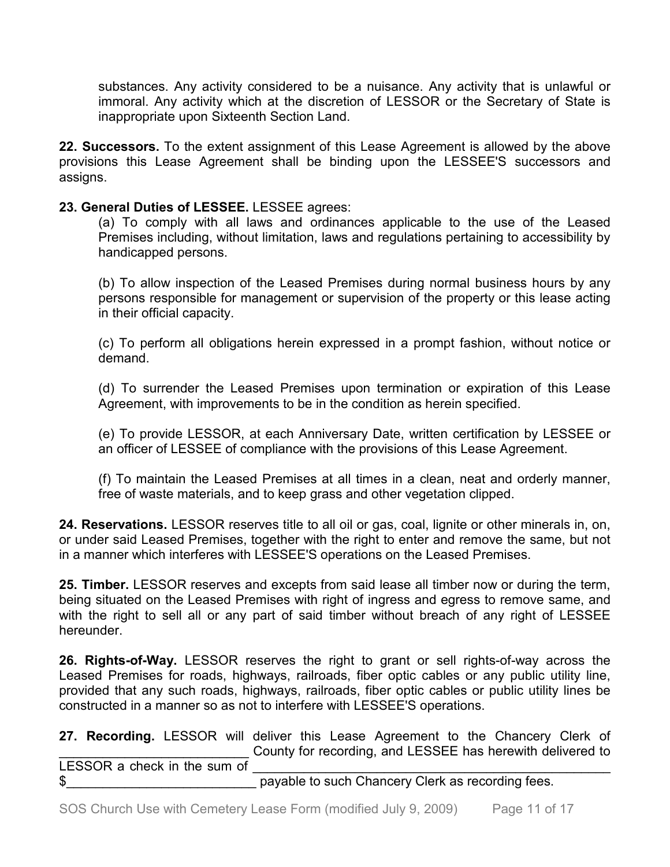substances. Any activity considered to be a nuisance. Any activity that is unlawful or immoral. Any activity which at the discretion of LESSOR or the Secretary of State is inappropriate upon Sixteenth Section Land.

**22. Successors.** To the extent assignment of this Lease Agreement is allowed by the above provisions this Lease Agreement shall be binding upon the LESSEE'S successors and assigns.

## **23. General Duties of LESSEE.** LESSEE agrees:

(a) To comply with all laws and ordinances applicable to the use of the Leased Premises including, without limitation, laws and regulations pertaining to accessibility by handicapped persons.

(b) To allow inspection of the Leased Premises during normal business hours by any persons responsible for management or supervision of the property or this lease acting in their official capacity.

(c) To perform all obligations herein expressed in a prompt fashion, without notice or demand.

(d) To surrender the Leased Premises upon termination or expiration of this Lease Agreement, with improvements to be in the condition as herein specified.

(e) To provide LESSOR, at each Anniversary Date, written certification by LESSEE or an officer of LESSEE of compliance with the provisions of this Lease Agreement.

(f) To maintain the Leased Premises at all times in a clean, neat and orderly manner, free of waste materials, and to keep grass and other vegetation clipped.

**24. Reservations.** LESSOR reserves title to all oil or gas, coal, lignite or other minerals in, on, or under said Leased Premises, together with the right to enter and remove the same, but not in a manner which interferes with LESSEE'S operations on the Leased Premises.

**25. Timber.** LESSOR reserves and excepts from said lease all timber now or during the term, being situated on the Leased Premises with right of ingress and egress to remove same, and with the right to sell all or any part of said timber without breach of any right of LESSEE hereunder.

**26. Rights-of-Way.** LESSOR reserves the right to grant or sell rights-of-way across the Leased Premises for roads, highways, railroads, fiber optic cables or any public utility line, provided that any such roads, highways, railroads, fiber optic cables or public utility lines be constructed in a manner so as not to interfere with LESSEE'S operations.

**27. Recording.** LESSOR will deliver this Lease Agreement to the Chancery Clerk of County for recording, and LESSEE has herewith delivered to LESSOR a check in the sum of \$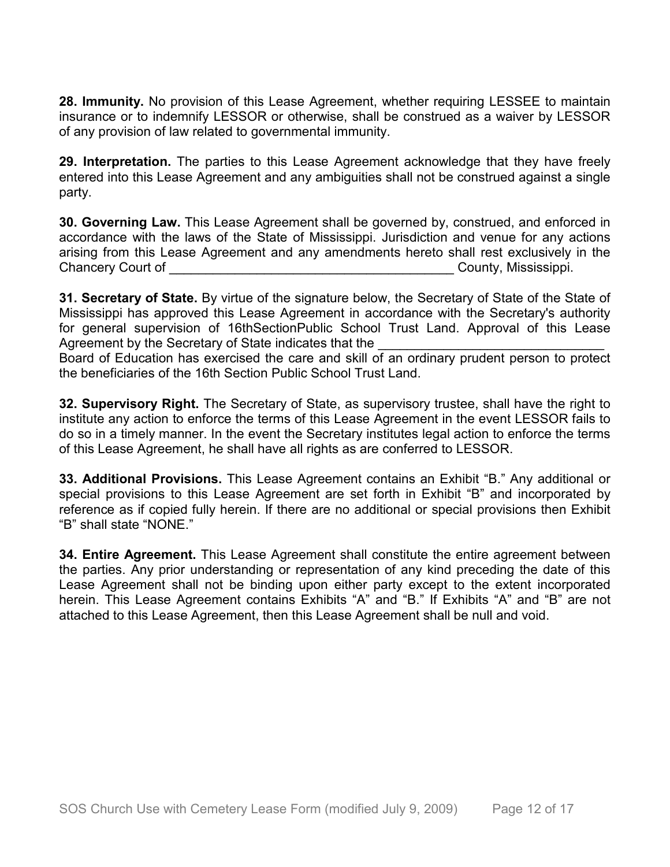**28. Immunity.** No provision of this Lease Agreement, whether requiring LESSEE to maintain insurance or to indemnify LESSOR or otherwise, shall be construed as a waiver by LESSOR of any provision of law related to governmental immunity.

**29. Interpretation.** The parties to this Lease Agreement acknowledge that they have freely entered into this Lease Agreement and any ambiguities shall not be construed against a single party.

**30. Governing Law.** This Lease Agreement shall be governed by, construed, and enforced in accordance with the laws of the State of Mississippi. Jurisdiction and venue for any actions arising from this Lease Agreement and any amendments hereto shall rest exclusively in the Chancery Court of **Chancery** Court of **Chancery** County, Mississippi.

**31. Secretary of State.** By virtue of the signature below, the Secretary of State of the State of Mississippi has approved this Lease Agreement in accordance with the Secretary's authority for general supervision of 16thSectionPublic School Trust Land. Approval of this Lease Agreement by the Secretary of State indicates that the

Board of Education has exercised the care and skill of an ordinary prudent person to protect the beneficiaries of the 16th Section Public School Trust Land.

**32. Supervisory Right.** The Secretary of State, as supervisory trustee, shall have the right to institute any action to enforce the terms of this Lease Agreement in the event LESSOR fails to do so in a timely manner. In the event the Secretary institutes legal action to enforce the terms of this Lease Agreement, he shall have all rights as are conferred to LESSOR.

**33. Additional Provisions.** This Lease Agreement contains an Exhibit "B." Any additional or special provisions to this Lease Agreement are set forth in Exhibit "B" and incorporated by reference as if copied fully herein. If there are no additional or special provisions then Exhibit "B" shall state "NONE."

**34. Entire Agreement.** This Lease Agreement shall constitute the entire agreement between the parties. Any prior understanding or representation of any kind preceding the date of this Lease Agreement shall not be binding upon either party except to the extent incorporated herein. This Lease Agreement contains Exhibits "A" and "B." If Exhibits "A" and "B" are not attached to this Lease Agreement, then this Lease Agreement shall be null and void.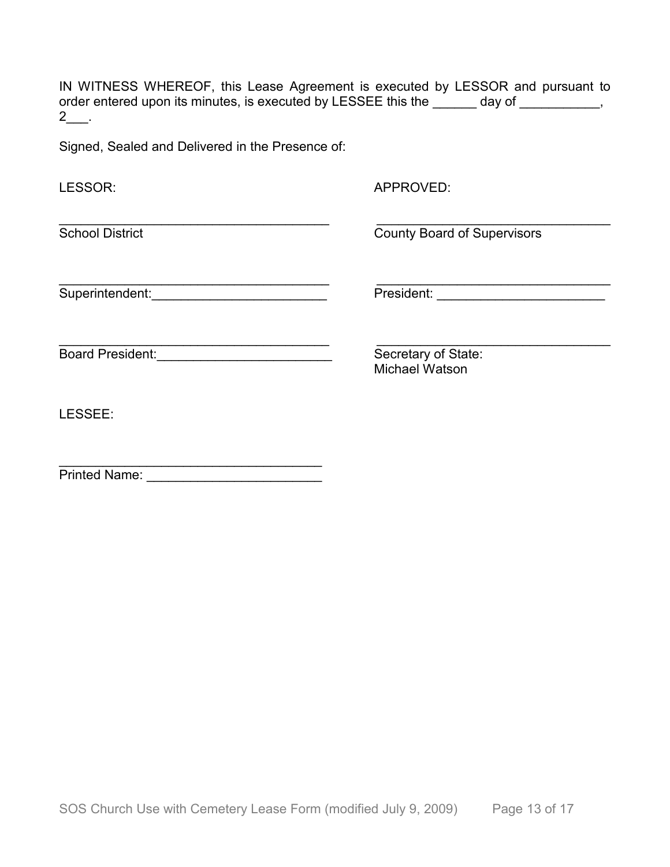IN WITNESS WHEREOF, this Lease Agreement is executed by LESSOR and pursuant to order entered upon its minutes, is executed by LESSEE this the \_\_\_\_\_\_ day of \_\_\_\_\_\_\_\_\_,  $2$ \_\_.

Signed, Sealed and Delivered in the Presence of:

| LESSOR:                 | APPROVED:                                    |
|-------------------------|----------------------------------------------|
| <b>School District</b>  | <b>County Board of Supervisors</b>           |
| Superintendent:         | President:                                   |
| <b>Board President:</b> | Secretary of State:<br><b>Michael Watson</b> |
| LESSEE:                 |                                              |
| <b>Printed Name:</b>    |                                              |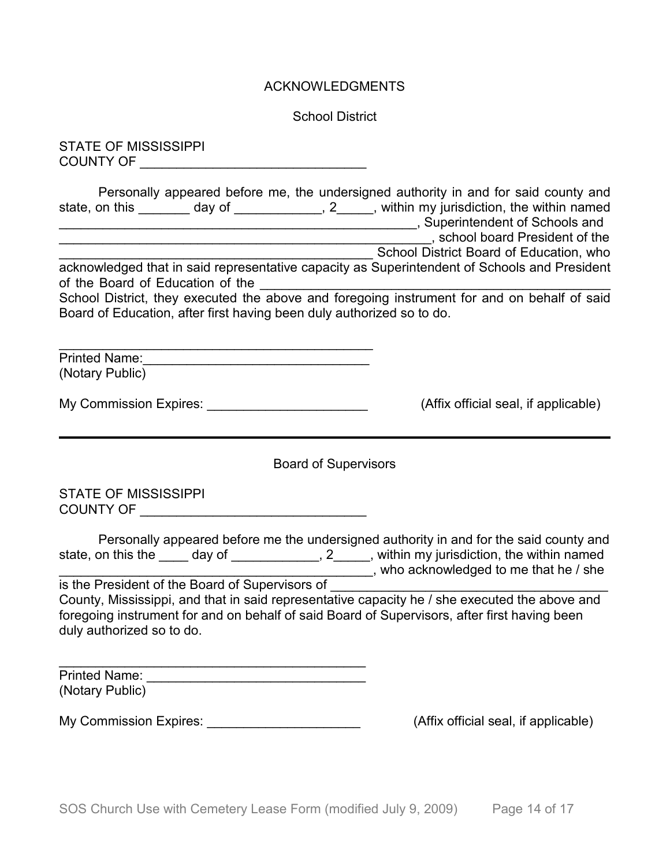#### ACKNOWLEDGMENTS

School District

STATE OF MISSISSIPPI COUNTY OF \_\_\_\_\_\_\_\_\_\_\_\_\_\_\_\_\_\_\_\_\_\_\_\_\_\_\_\_\_\_\_

Personally appeared before me, the undersigned authority in and for said county and state, on this \_\_\_\_\_\_\_ day of \_\_\_\_\_\_\_\_\_\_\_, 2\_\_\_\_, within my jurisdiction, the within named \_\_\_\_\_\_\_\_\_\_\_\_\_\_\_\_\_\_\_\_\_\_\_\_\_\_\_\_\_\_\_\_\_\_\_\_\_\_\_\_\_\_\_\_\_\_\_\_\_, Superintendent of Schools and \_\_\_\_\_\_\_\_\_\_\_\_\_\_\_\_\_\_\_\_\_\_\_\_\_\_\_\_\_\_\_\_\_\_\_\_\_\_\_\_\_\_\_\_\_\_\_\_\_\_\_, school board President of the \_\_\_\_\_\_\_\_\_\_\_\_\_\_\_\_\_\_\_\_\_\_\_\_\_\_\_\_\_\_\_\_\_\_\_\_\_\_\_\_\_\_\_ School District Board of Education, who acknowledged that in said representative capacity as Superintendent of Schools and President of the Board of Education of the \_\_\_\_\_\_\_\_\_\_\_\_\_\_\_\_\_\_\_\_\_\_\_\_\_\_\_\_\_\_\_\_\_\_\_\_\_\_\_\_\_\_\_\_\_\_\_\_ School District, they executed the above and foregoing instrument for and on behalf of said Board of Education, after first having been duly authorized so to do.

\_\_\_\_\_\_\_\_\_\_\_\_\_\_\_\_\_\_\_\_\_\_\_\_\_\_\_\_\_\_\_\_\_\_\_\_\_\_\_\_\_\_\_ Printed Name:\_\_\_\_\_\_\_\_\_\_\_\_\_\_\_\_\_\_\_\_\_\_\_\_\_\_\_\_\_\_\_ (Notary Public)

My Commission Expires: \_\_\_\_\_\_\_\_\_\_\_\_\_\_\_\_\_\_\_\_\_\_\_\_\_\_\_\_\_\_(Affix official seal, if applicable)

Board of Supervisors

STATE OF MISSISSIPPI COUNTY OF \_\_\_\_\_\_\_\_\_\_\_\_\_\_\_\_\_\_\_\_\_\_\_\_\_\_\_\_\_\_\_

|                                                 | Personally appeared before me the undersigned authority in and for the said county and |
|-------------------------------------------------|----------------------------------------------------------------------------------------|
| state, on this the<br>day of                    | , within my jurisdiction, the within named                                             |
|                                                 | , who acknowledged to me that he / she                                                 |
| is the President of the Board of Supervisors of |                                                                                        |

County, Mississippi, and that in said representative capacity he / she executed the above and foregoing instrument for and on behalf of said Board of Supervisors, after first having been duly authorized so to do.

\_\_\_\_\_\_\_\_\_\_\_\_\_\_\_\_\_\_\_\_\_\_\_\_\_\_\_\_\_\_\_\_\_\_\_\_\_\_\_\_\_\_ Printed Name: \_\_\_\_\_\_\_\_\_\_\_\_\_\_\_\_\_\_\_\_\_\_\_\_\_\_\_\_\_\_ (Notary Public)

My Commission Expires: \_\_\_\_\_\_\_\_\_\_\_\_\_\_\_\_\_\_\_\_\_\_\_\_\_\_\_\_\_\_(Affix official seal, if applicable)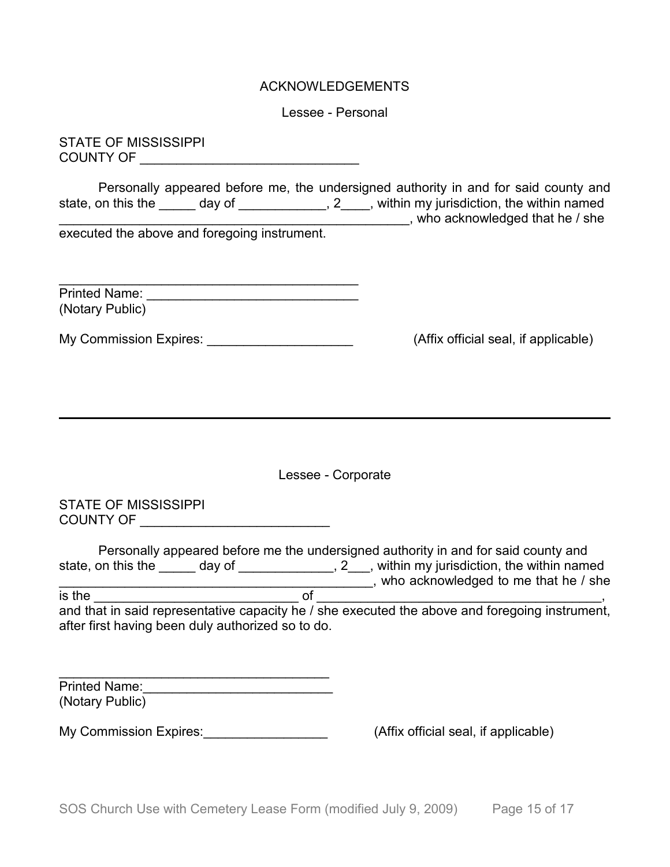#### ACKNOWLEDGEMENTS

Lessee - Personal

STATE OF MISSISSIPPI COUNTY OF \_\_\_\_\_\_\_\_\_\_\_\_\_\_\_\_\_\_\_\_\_\_\_\_\_\_\_\_\_\_

Personally appeared before me, the undersigned authority in and for said county and state, on this the \_\_\_\_\_ day of \_\_\_\_\_\_\_\_\_\_\_\_\_, 2\_\_\_\_, within my jurisdiction, the within named state, on this the \_\_\_\_\_\_ day of \_\_\_\_\_\_\_\_\_\_\_\_\_, 2\_\_\_\_, within my jurisdiction, the within named \_\_\_\_\_\_\_\_\_\_\_\_\_\_\_\_\_\_\_\_\_\_\_\_\_\_\_\_\_\_\_\_\_\_\_\_\_\_\_\_\_\_\_\_\_\_\_\_, who acknowledged that he / she executed the above and foregoing instrument.

| <b>Printed Name:</b> |  |
|----------------------|--|
| (Notary Public)      |  |

My Commission Expires: <u>\_\_\_\_\_\_\_\_\_\_\_\_\_\_\_\_\_\_\_\_\_\_\_\_\_\_\_\_\_\_</u> (Affix official seal, if applicable)

Lessee - Corporate

STATE OF MISSISSIPPI COUNTY OF \_\_\_\_\_\_\_\_\_\_\_\_\_\_\_\_\_\_\_\_\_\_\_\_\_\_

|                                                   |        | Personally appeared before me the undersigned authority in and for said county and             |
|---------------------------------------------------|--------|------------------------------------------------------------------------------------------------|
| state, on this the                                | day of | 2, within my jurisdiction, the within named                                                    |
|                                                   |        | who acknowledged to me that he / she                                                           |
| is the                                            |        |                                                                                                |
|                                                   |        | and that in said representative capacity he / she executed the above and foregoing instrument, |
| after first having been duly authorized so to do. |        |                                                                                                |

| <b>Printed Name:</b> |  |
|----------------------|--|
| (Notary Public)      |  |

My Commission Expires:  $\blacksquare$ 

\_\_\_\_\_\_\_\_\_\_\_\_\_\_\_\_\_\_\_\_\_\_\_\_\_\_\_\_\_\_\_\_\_\_\_\_\_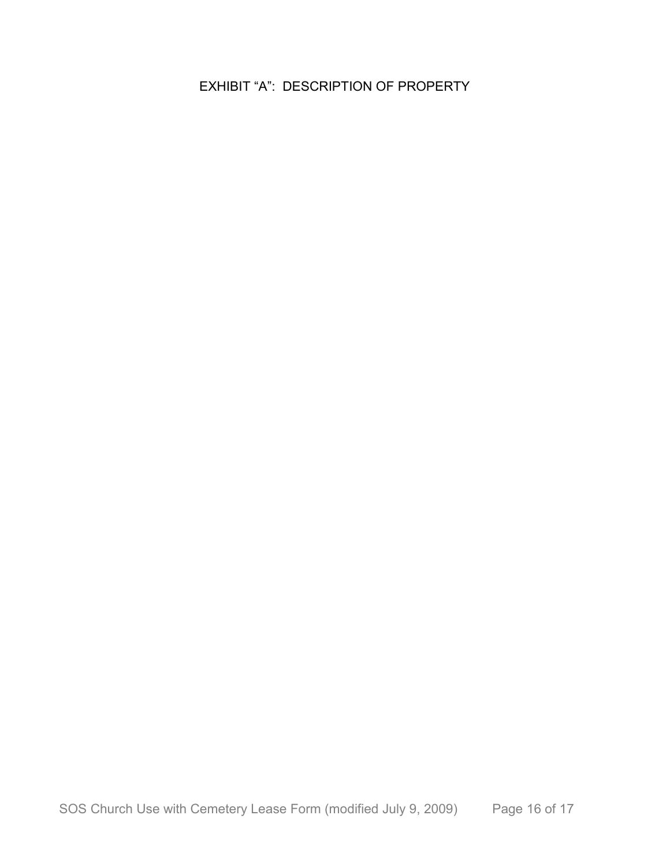EXHIBIT "A": DESCRIPTION OF PROPERTY